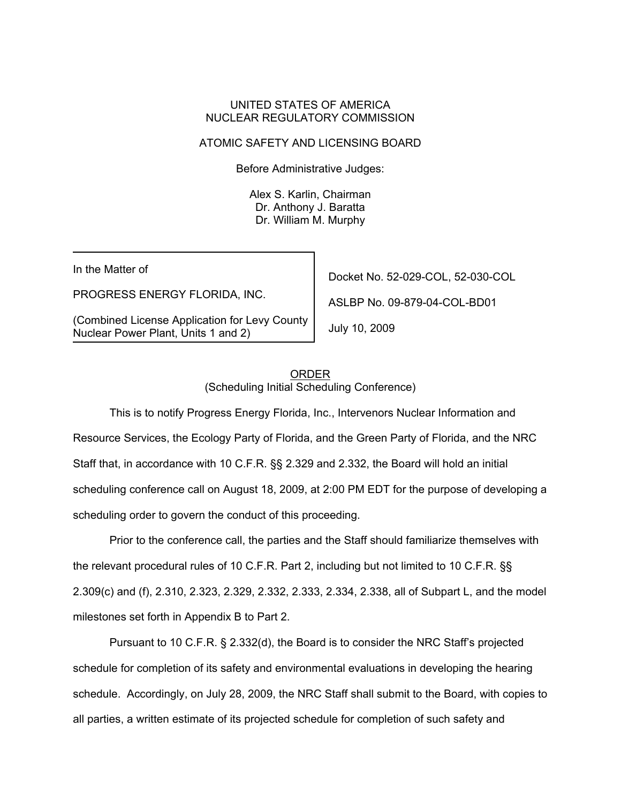### UNITED STATES OF AMERICA NUCLEAR REGULATORY COMMISSION

### ATOMIC SAFETY AND LICENSING BOARD

Before Administrative Judges:

Alex S. Karlin, Chairman Dr. Anthony J. Baratta Dr. William M. Murphy

In the Matter of

PROGRESS ENERGY FLORIDA, INC.

(Combined License Application for Levy County Nuclear Power Plant, Units 1 and 2)

Docket No. 52-029-COL, 52-030-COL

ASLBP No. 09-879-04-COL-BD01

July 10, 2009

### ORDER (Scheduling Initial Scheduling Conference)

This is to notify Progress Energy Florida, Inc., Intervenors Nuclear Information and Resource Services, the Ecology Party of Florida, and the Green Party of Florida, and the NRC Staff that, in accordance with 10 C.F.R. §§ 2.329 and 2.332, the Board will hold an initial scheduling conference call on August 18, 2009, at 2:00 PM EDT for the purpose of developing a scheduling order to govern the conduct of this proceeding.

Prior to the conference call, the parties and the Staff should familiarize themselves with the relevant procedural rules of 10 C.F.R. Part 2, including but not limited to 10 C.F.R. §§ 2.309(c) and (f), 2.310, 2.323, 2.329, 2.332, 2.333, 2.334, 2.338, all of Subpart L, and the model milestones set forth in Appendix B to Part 2.

Pursuant to 10 C.F.R. § 2.332(d), the Board is to consider the NRC Staff's projected schedule for completion of its safety and environmental evaluations in developing the hearing schedule. Accordingly, on July 28, 2009, the NRC Staff shall submit to the Board, with copies to all parties, a written estimate of its projected schedule for completion of such safety and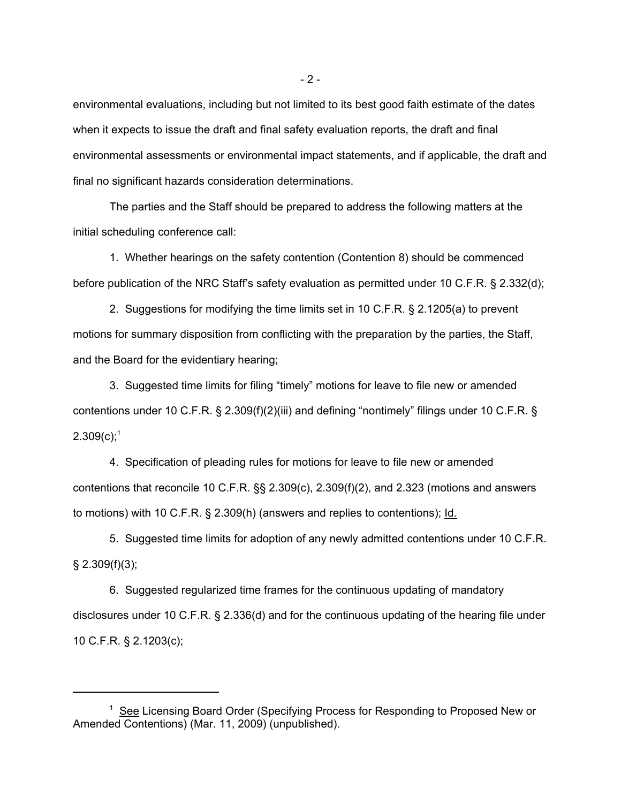environmental evaluations, including but not limited to its best good faith estimate of the dates when it expects to issue the draft and final safety evaluation reports, the draft and final environmental assessments or environmental impact statements, and if applicable, the draft and final no significant hazards consideration determinations.

The parties and the Staff should be prepared to address the following matters at the initial scheduling conference call:

1. Whether hearings on the safety contention (Contention 8) should be commenced before publication of the NRC Staff's safety evaluation as permitted under 10 C.F.R. § 2.332(d);

2. Suggestions for modifying the time limits set in 10 C.F.R. § 2.1205(a) to prevent motions for summary disposition from conflicting with the preparation by the parties, the Staff, and the Board for the evidentiary hearing;

3. Suggested time limits for filing "timely" motions for leave to file new or amended contentions under 10 C.F.R. § 2.309(f)(2)(iii) and defining "nontimely" filings under 10 C.F.R. §  $2.309(c)$ ;<sup>1</sup>

4. Specification of pleading rules for motions for leave to file new or amended contentions that reconcile 10 C.F.R. §§ 2.309(c), 2.309(f)(2), and 2.323 (motions and answers to motions) with 10 C.F.R. § 2.309(h) (answers and replies to contentions); Id.

5. Suggested time limits for adoption of any newly admitted contentions under 10 C.F.R.  $§$  2.309(f)(3);

6. Suggested regularized time frames for the continuous updating of mandatory disclosures under 10 C.F.R. § 2.336(d) and for the continuous updating of the hearing file under 10 C.F.R. § 2.1203(c);

<sup>&</sup>lt;sup>1</sup> See Licensing Board Order (Specifying Process for Responding to Proposed New or Amended Contentions) (Mar. 11, 2009) (unpublished).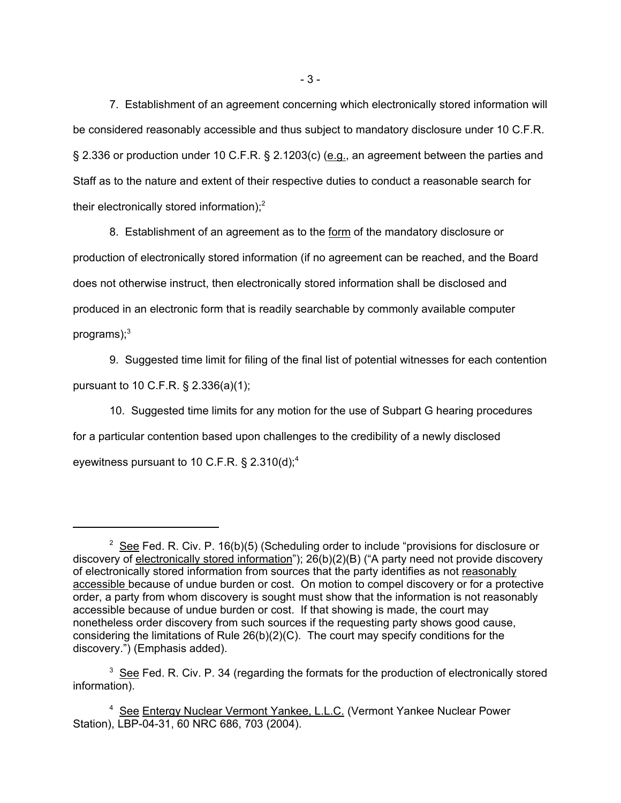7. Establishment of an agreement concerning which electronically stored information will be considered reasonably accessible and thus subject to mandatory disclosure under 10 C.F.R. § 2.336 or production under 10 C.F.R. § 2.1203(c) (e.g., an agreement between the parties and Staff as to the nature and extent of their respective duties to conduct a reasonable search for their electronically stored information); $<sup>2</sup>$ </sup>

8. Establishment of an agreement as to the form of the mandatory disclosure or production of electronically stored information (if no agreement can be reached, and the Board does not otherwise instruct, then electronically stored information shall be disclosed and produced in an electronic form that is readily searchable by commonly available computer programs); $^3$ 

9. Suggested time limit for filing of the final list of potential witnesses for each contention pursuant to 10 C.F.R. § 2.336(a)(1);

10. Suggested time limits for any motion for the use of Subpart G hearing procedures for a particular contention based upon challenges to the credibility of a newly disclosed eyewitness pursuant to 10 C.F.R.  $\S 2.310(d)$ ;<sup>4</sup>

 $2$  See Fed. R. Civ. P. 16(b)(5) (Scheduling order to include "provisions for disclosure or discovery of electronically stored information"); 26(b)(2)(B) ("A party need not provide discovery of electronically stored information from sources that the party identifies as not reasonably accessible because of undue burden or cost. On motion to compel discovery or for a protective order, a party from whom discovery is sought must show that the information is not reasonably accessible because of undue burden or cost. If that showing is made, the court may nonetheless order discovery from such sources if the requesting party shows good cause, considering the limitations of Rule 26(b)(2)(C). The court may specify conditions for the discovery.") (Emphasis added).

 $3$  See Fed. R. Civ. P. 34 (regarding the formats for the production of electronically stored information).

<sup>&</sup>lt;sup>4</sup> See Entergy Nuclear Vermont Yankee, L.L.C. (Vermont Yankee Nuclear Power Station), LBP-04-31, 60 NRC 686, 703 (2004).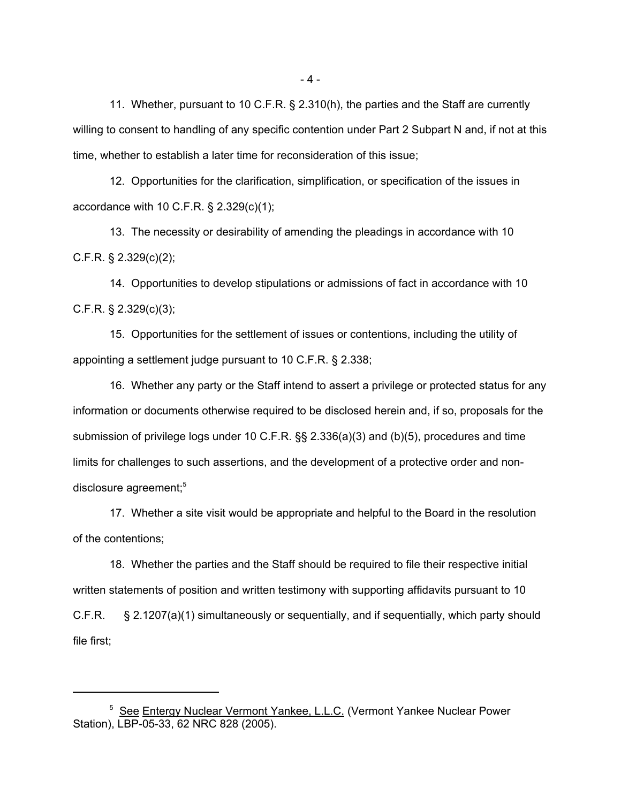11. Whether, pursuant to 10 C.F.R. § 2.310(h), the parties and the Staff are currently willing to consent to handling of any specific contention under Part 2 Subpart N and, if not at this time, whether to establish a later time for reconsideration of this issue;

12. Opportunities for the clarification, simplification, or specification of the issues in accordance with 10 C.F.R. § 2.329(c)(1);

13. The necessity or desirability of amending the pleadings in accordance with 10 C.F.R. § 2.329(c)(2);

14. Opportunities to develop stipulations or admissions of fact in accordance with 10 C.F.R. § 2.329(c)(3);

15. Opportunities for the settlement of issues or contentions, including the utility of appointing a settlement judge pursuant to 10 C.F.R. § 2.338;

16. Whether any party or the Staff intend to assert a privilege or protected status for any information or documents otherwise required to be disclosed herein and, if so, proposals for the submission of privilege logs under 10 C.F.R. §§ 2.336(a)(3) and (b)(5), procedures and time limits for challenges to such assertions, and the development of a protective order and nondisclosure agreement;<sup>5</sup>

17. Whether a site visit would be appropriate and helpful to the Board in the resolution of the contentions;

18. Whether the parties and the Staff should be required to file their respective initial written statements of position and written testimony with supporting affidavits pursuant to 10 C.F.R. § 2.1207(a)(1) simultaneously or sequentially, and if sequentially, which party should file first;

- 4 -

<sup>&</sup>lt;sup>5</sup> See Entergy Nuclear Vermont Yankee, L.L.C. (Vermont Yankee Nuclear Power Station), LBP-05-33, 62 NRC 828 (2005).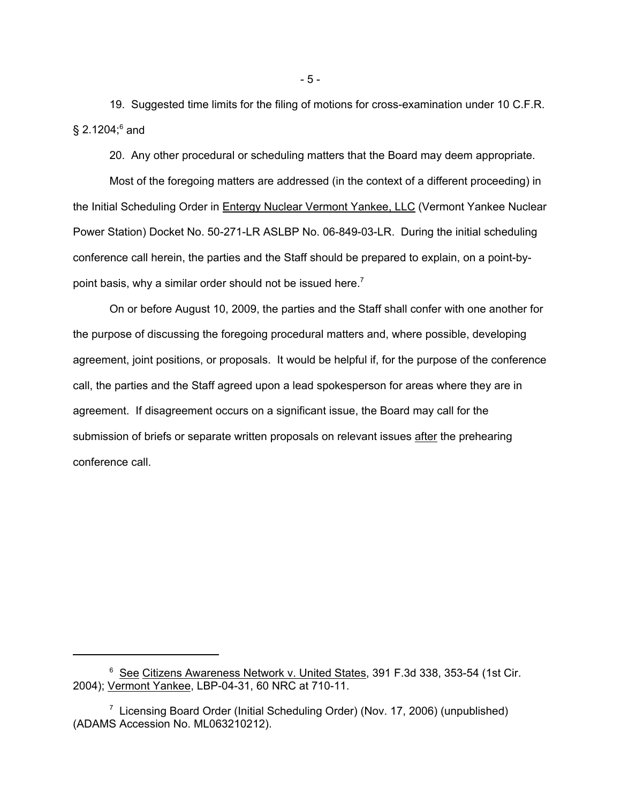19. Suggested time limits for the filing of motions for cross-examination under 10 C.F.R.  $\S$  2.1204; $^6$  and

20. Any other procedural or scheduling matters that the Board may deem appropriate.

Most of the foregoing matters are addressed (in the context of a different proceeding) in the Initial Scheduling Order in Entergy Nuclear Vermont Yankee, LLC (Vermont Yankee Nuclear Power Station) Docket No. 50-271-LR ASLBP No. 06-849-03-LR. During the initial scheduling conference call herein, the parties and the Staff should be prepared to explain, on a point-bypoint basis, why a similar order should not be issued here.<sup>7</sup>

On or before August 10, 2009, the parties and the Staff shall confer with one another for the purpose of discussing the foregoing procedural matters and, where possible, developing agreement, joint positions, or proposals. It would be helpful if, for the purpose of the conference call, the parties and the Staff agreed upon a lead spokesperson for areas where they are in agreement. If disagreement occurs on a significant issue, the Board may call for the submission of briefs or separate written proposals on relevant issues after the prehearing conference call.

<sup>&</sup>lt;sup>6</sup> See Citizens Awareness Network v. United States, 391 F.3d 338, 353-54 (1st Cir. 2004); Vermont Yankee, LBP-04-31, 60 NRC at 710-11.

<sup>&</sup>lt;sup>7</sup> Licensing Board Order (Initial Scheduling Order) (Nov. 17, 2006) (unpublished) (ADAMS Accession No. ML063210212).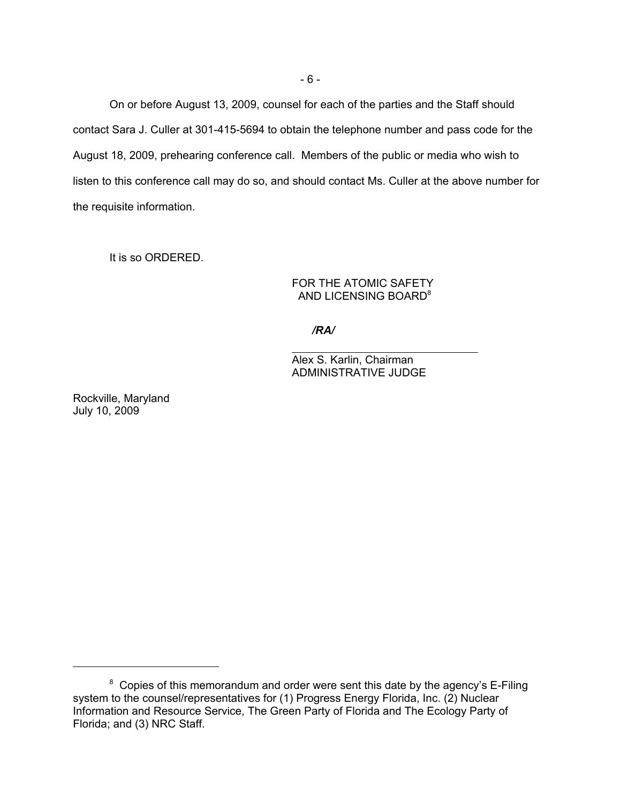On or before August 13, 2009, counsel for each of the parties and the Staff should contact Sara J. Culler at 301-415-5694 to obtain the telephone number and pass code for the August 18, 2009, prehearing conference call. Members of the public or media who wish to listen to this conference call may do so, and should contact Ms. Culler at the above number for the requisite information.

It is so ORDERED.

FOR THE ATOMIC SAFETY AND LICENSING BOARD<sup>8</sup>

*/RA/*

 $\overline{a}$ 

Alex S. Karlin, Chairman ADMINISTRATIVE JUDGE

Rockville, Maryland July 10, 2009

 $8$  Copies of this memorandum and order were sent this date by the agency's E-Filing system to the counsel/representatives for (1) Progress Energy Florida, Inc. (2) Nuclear Information and Resource Service, The Green Party of Florida and The Ecology Party of Florida; and (3) NRC Staff.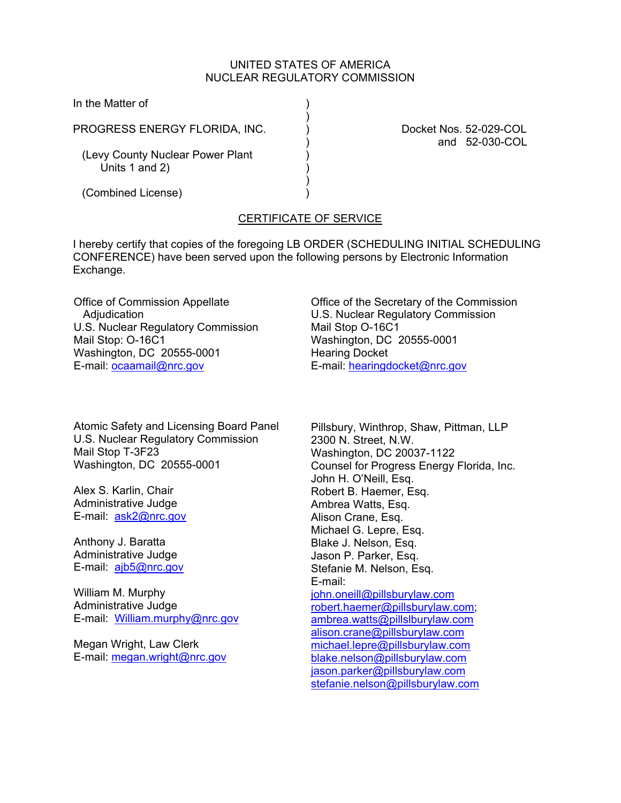## UNITED STATES OF AMERICA NUCLEAR REGULATORY COMMISSION

In the Matter of )

PROGRESS ENERGY FLORIDA, INC.  $\qquad \qquad$  Docket Nos. 52-029-COL

 $)$ 

 $)$ 

(Levy County Nuclear Power Plant Units  $1$  and  $2$ )

) and 52-030-COL

(Combined License) )

# CERTIFICATE OF SERVICE

I hereby certify that copies of the foregoing LB ORDER (SCHEDULING INITIAL SCHEDULING CONFERENCE) have been served upon the following persons by Electronic Information Exchange.

Office of Commission Appellate **Adjudication** U.S. Nuclear Regulatory Commission Mail Stop: O-16C1 Washington, DC 20555-0001 E-mail: ocaamail@nrc.gov

Atomic Safety and Licensing Board Panel U.S. Nuclear Regulatory Commission Mail Stop T-3F23 Washington, DC 20555-0001

Alex S. Karlin, Chair Administrative Judge E-mail: ask2@nrc.gov

Anthony J. Baratta Administrative Judge E-mail: ajb5@nrc.gov

William M. Murphy Administrative Judge E-mail: William.murphy@nrc.gov

Megan Wright, Law Clerk E-mail: megan.wright@nrc.gov Office of the Secretary of the Commission U.S. Nuclear Regulatory Commission Mail Stop O-16C1 Washington, DC 20555-0001 Hearing Docket E-mail: hearingdocket@nrc.gov

Pillsbury, Winthrop, Shaw, Pittman, LLP 2300 N. Street, N.W. Washington, DC 20037-1122 Counsel for Progress Energy Florida, Inc. John H. O'Neill, Esq. Robert B. Haemer, Esq. Ambrea Watts, Esq. Alison Crane, Esq. Michael G. Lepre, Esq. Blake J. Nelson, Esq. Jason P. Parker, Esq. Stefanie M. Nelson, Esq. E-mail: john.oneill@pillsburylaw.com robert.haemer@pillsburylaw.com; ambrea.watts@pillslburylaw.com alison.crane@pillsburylaw.com michael.lepre@pillsburylaw.com blake.nelson@pillsburylaw.com jason.parker@pillsburylaw.com stefanie.nelson@pillsburylaw.com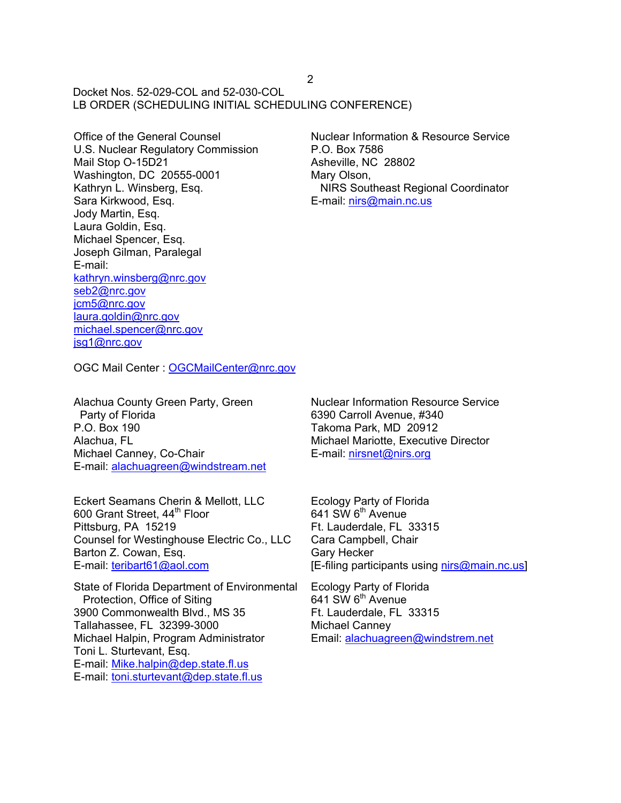Docket Nos. 52-029-COL and 52-030-COL LB ORDER (SCHEDULING INITIAL SCHEDULING CONFERENCE)

Office of the General Counsel U.S. Nuclear Regulatory Commission Mail Stop O-15D21 Washington, DC 20555-0001 Kathryn L. Winsberg, Esq. Sara Kirkwood, Esq. Jody Martin, Esq. Laura Goldin, Esq. Michael Spencer, Esq. Joseph Gilman, Paralegal E-mail: kathryn.winsberg@nrc.gov seb2@nrc.gov jcm5@nrc.gov laura.goldin@nrc.gov michael.spencer@nrc.gov jsg1@nrc.gov

Nuclear Information & Resource Service P.O. Box 7586 Asheville, NC 28802 Mary Olson, NIRS Southeast Regional Coordinator E-mail: nirs@main.nc.us

OGC Mail Center : OGCMailCenter@nrc.gov

Alachua County Green Party, Green Party of Florida P.O. Box 190 Alachua, FL Michael Canney, Co-Chair E-mail: alachuagreen@windstream.net

Eckert Seamans Cherin & Mellott, LLC 600 Grant Street, 44<sup>th</sup> Floor Pittsburg, PA 15219 Counsel for Westinghouse Electric Co., LLC Barton Z. Cowan, Esq. E-mail: teribart61@aol.com

State of Florida Department of Environmental Protection, Office of Siting 3900 Commonwealth Blvd., MS 35 Tallahassee, FL 32399-3000 Michael Halpin, Program Administrator Toni L. Sturtevant, Esq. E-mail: Mike.halpin@dep.state.fl.us E-mail: toni.sturtevant@dep.state.fl.us

Nuclear Information Resource Service 6390 Carroll Avenue, #340 Takoma Park, MD 20912 Michael Mariotte, Executive Director E-mail: nirsnet@nirs.org

Ecology Party of Florida  $641$  SW  $6<sup>th</sup>$  Avenue Ft. Lauderdale, FL 33315 Cara Campbell, Chair Gary Hecker [E-filing participants using nirs@main.nc.us]

Ecology Party of Florida  $641$  SW  $6<sup>th</sup>$  Avenue Ft. Lauderdale, FL 33315 Michael Canney Email: alachuagreen@windstrem.net